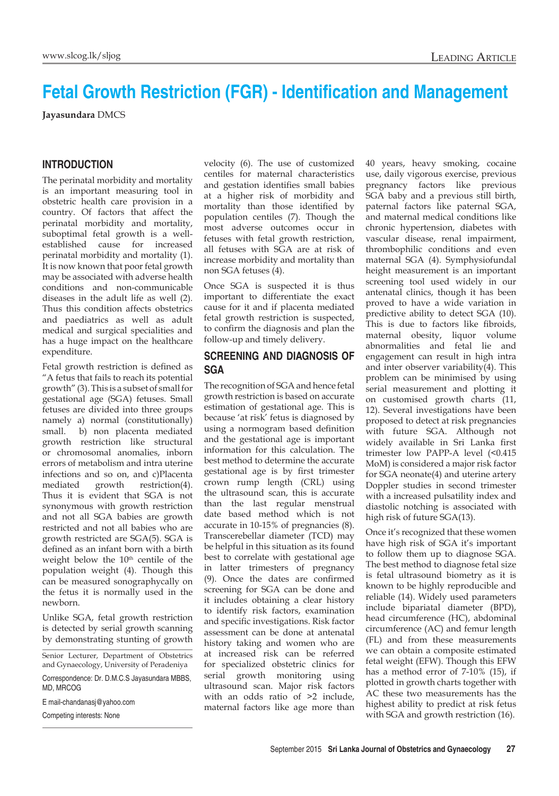# **Fetal Growth Restriction (FGR) - Identification and Management**

**Jayasundara** DMCS

## **Introduction**

The perinatal morbidity and mortality is an important measuring tool in obstetric health care provision in a country. Of factors that affect the perinatal morbidity and mortality, suboptimal fetal growth is a wellestablished cause for increased perinatal morbidity and mortality (1). It is now known that poor fetal growth may be associated with adverse health conditions and non-communicable diseases in the adult life as well (2). Thus this condition affects obstetrics and paediatrics as well as adult medical and surgical specialities and has a huge impact on the healthcare expenditure.

Fetal growth restriction is defined as "A fetus that fails to reach its potential growth" (3). This is a subset of small for gestational age (SGA) fetuses. Small fetuses are divided into three groups namely a) normal (constitutionally) small. b) non placenta mediated growth restriction like structural or chromosomal anomalies, inborn errors of metabolism and intra uterine infections and so on, and c)Placenta mediated growth restriction(4). Thus it is evident that SGA is not synonymous with growth restriction and not all SGA babies are growth restricted and not all babies who are growth restricted are SGA(5). SGA is defined as an infant born with a birth weight below the 10<sup>th</sup> centile of the population weight (4). Though this can be measured sonographycally on the fetus it is normally used in the newborn.

Unlike SGA, fetal growth restriction is detected by serial growth scanning by demonstrating stunting of growth

Senior Lecturer, Department of Obstetrics and Gynaecology, University of Peradeniya

Correspondence: Dr. D.M.C.S Jayasundara MBBS, MD, MRCOG

E mail-chandanasj@yahoo.com

Competing interests: None

velocity (6). The use of customized centiles for maternal characteristics and gestation identifies small babies at a higher risk of morbidity and mortality than those identified by population centiles (7). Though the most adverse outcomes occur in fetuses with fetal growth restriction, all fetuses with SGA are at risk of increase morbidity and mortality than non SGA fetuses (4).

Once SGA is suspected it is thus important to differentiate the exact cause for it and if placenta mediated fetal growth restriction is suspected, to confirm the diagnosis and plan the follow-up and timely delivery.

### **Screening and Diagnosis of SGA**

The recognition of SGA and hence fetal growth restriction is based on accurate estimation of gestational age. This is because 'at risk' fetus is diagnosed by using a normogram based definition and the gestational age is important information for this calculation. The best method to determine the accurate gestational age is by first trimester crown rump length (CRL) using the ultrasound scan, this is accurate than the last regular menstrual date based method which is not accurate in 10-15% of pregnancies (8). Transcerebellar diameter (TCD) may be helpful in this situation as its found best to correlate with gestational age in latter trimesters of pregnancy (9). Once the dates are confirmed screening for SGA can be done and it includes obtaining a clear history to identify risk factors, examination and specific investigations. Risk factor assessment can be done at antenatal history taking and women who are at increased risk can be referred for specialized obstetric clinics for serial growth monitoring using ultrasound scan. Major risk factors with an odds ratio of >2 include, maternal factors like age more than

40 years, heavy smoking, cocaine use, daily vigorous exercise, previous pregnancy factors like previous SGA baby and a previous still birth, paternal factors like paternal SGA, and maternal medical conditions like chronic hypertension, diabetes with vascular disease, renal impairment, thrombophilic conditions and even maternal SGA (4). Symphysiofundal height measurement is an important screening tool used widely in our antenatal clinics, though it has been proved to have a wide variation in predictive ability to detect SGA (10). This is due to factors like fibroids, maternal obesity, liquor volume abnormalities and fetal lie and engagement can result in high intra and inter observer variability(4). This problem can be minimised by using serial measurement and plotting it on customised growth charts (11, 12). Several investigations have been proposed to detect at risk pregnancies with future SGA. Although not widely available in Sri Lanka first trimester low PAPP-A level (<0.415 MoM) is considered a major risk factor for SGA neonate(4) and uterine artery Doppler studies in second trimester with a increased pulsatility index and diastolic notching is associated with high risk of future SGA(13).

Once it's recognized that these women have high risk of SGA it's important to follow them up to diagnose SGA. The best method to diagnose fetal size is fetal ultrasound biometry as it is known to be highly reproducible and reliable (14). Widely used parameters include bipariatal diameter (BPD), head circumference (HC), abdominal circumference (AC) and femur length (FL) and from these measurements we can obtain a composite estimated fetal weight (EFW). Though this EFW has a method error of 7-10% (15), if plotted in growth charts together with AC these two measurements has the highest ability to predict at risk fetus with SGA and growth restriction (16).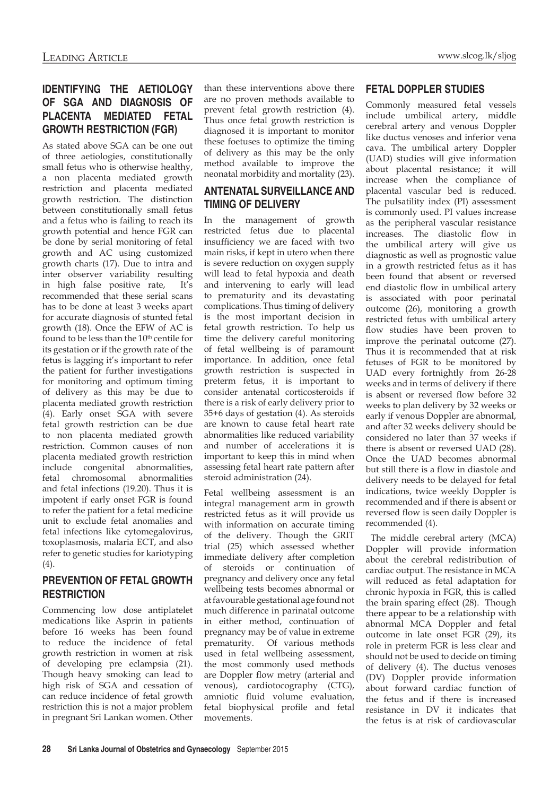# **Identifying the Aetiology of SGA and diagnosis of placenta mediated fetal growth restriction (FGR)**

As stated above SGA can be one out of three aetiologies, constitutionally small fetus who is otherwise healthy, a non placenta mediated growth restriction and placenta mediated growth restriction. The distinction between constitutionally small fetus and a fetus who is failing to reach its growth potential and hence FGR can be done by serial monitoring of fetal growth and AC using customized growth charts (17). Due to intra and inter observer variability resulting in high false positive rate, It's recommended that these serial scans has to be done at least 3 weeks apart for accurate diagnosis of stunted fetal growth (18). Once the EFW of AC is found to be less than the 10<sup>th</sup> centile for its gestation or if the growth rate of the fetus is lagging it's important to refer the patient for further investigations for monitoring and optimum timing of delivery as this may be due to placenta mediated growth restriction (4). Early onset SGA with severe fetal growth restriction can be due to non placenta mediated growth restriction. Common causes of non placenta mediated growth restriction include congenital abnormalities, fetal chromosomal abnormalities and fetal infections (19.20). Thus it is impotent if early onset FGR is found to refer the patient for a fetal medicine unit to exclude fetal anomalies and fetal infections like cytomegalovirus, toxoplasmosis, malaria ECT, and also refer to genetic studies for kariotyping  $(4)$ .

## **Prevention of fetal growth restriction**

Commencing low dose antiplatelet medications like Asprin in patients before 16 weeks has been found to reduce the incidence of fetal growth restriction in women at risk of developing pre eclampsia (21). Though heavy smoking can lead to high risk of SGA and cessation of can reduce incidence of fetal growth restriction this is not a major problem in pregnant Sri Lankan women. Other than these interventions above there are no proven methods available to prevent fetal growth restriction (4). Thus once fetal growth restriction is diagnosed it is important to monitor these foetuses to optimize the timing of delivery as this may be the only method available to improve the neonatal morbidity and mortality (23).

# **Antenatal surveillance and timing of delivery**

In the management of growth restricted fetus due to placental insufficiency we are faced with two main risks, if kept in utero when there is severe reduction on oxygen supply will lead to fetal hypoxia and death and intervening to early will lead to prematurity and its devastating complications. Thus timing of delivery is the most important decision in fetal growth restriction. To help us time the delivery careful monitoring of fetal wellbeing is of paramount importance. In addition, once fetal growth restriction is suspected in preterm fetus, it is important to consider antenatal corticosteroids if there is a risk of early delivery prior to 35+6 days of gestation (4). As steroids are known to cause fetal heart rate abnormalities like reduced variability and number of accelerations it is important to keep this in mind when assessing fetal heart rate pattern after steroid administration (24).

Fetal wellbeing assessment is an integral management arm in growth restricted fetus as it will provide us with information on accurate timing of the delivery. Though the GRIT trial (25) which assessed whether immediate delivery after completion of steroids or continuation of pregnancy and delivery once any fetal wellbeing tests becomes abnormal or at favourable gestational age found not much difference in parinatal outcome in either method, continuation of pregnancy may be of value in extreme prematurity. Of various methods used in fetal wellbeing assessment, the most commonly used methods are Doppler flow metry (arterial and venous), cardiotocography (CTG), amniotic fluid volume evaluation, fetal biophysical profile and fetal movements.

## **Fetal Doppler studies**

Commonly measured fetal vessels include umbilical artery, middle cerebral artery and venous Doppler like ductus venoses and inferior vena cava. The umbilical artery Doppler (UAD) studies will give information about placental resistance; it will increase when the compliance of placental vascular bed is reduced. The pulsatility index (PI) assessment is commonly used. PI values increase as the peripheral vascular resistance increases. The diastolic flow in the umbilical artery will give us diagnostic as well as prognostic value in a growth restricted fetus as it has been found that absent or reversed end diastolic flow in umbilical artery is associated with poor perinatal outcome (26), monitoring a growth restricted fetus with umbilical artery flow studies have been proven to improve the perinatal outcome (27). Thus it is recommended that at risk fetuses of FGR to be monitored by UAD every fortnightly from 26-28 weeks and in terms of delivery if there is absent or reversed flow before 32 weeks to plan delivery by 32 weeks or early if venous Doppler are abnormal, and after 32 weeks delivery should be considered no later than 37 weeks if there is absent or reversed UAD (28). Once the UAD becomes abnormal but still there is a flow in diastole and delivery needs to be delayed for fetal indications, twice weekly Doppler is recommended and if there is absent or reversed flow is seen daily Doppler is recommended (4).

 The middle cerebral artery (MCA) Doppler will provide information about the cerebral redistribution of cardiac output. The resistance in MCA will reduced as fetal adaptation for chronic hypoxia in FGR, this is called the brain sparing effect (28). Though there appear to be a relationship with abnormal MCA Doppler and fetal outcome in late onset FGR (29), its role in preterm FGR is less clear and should not be used to decide on timing of delivery (4). The ductus venoses (DV) Doppler provide information about forward cardiac function of the fetus and if there is increased resistance in DV it indicates that the fetus is at risk of cardiovascular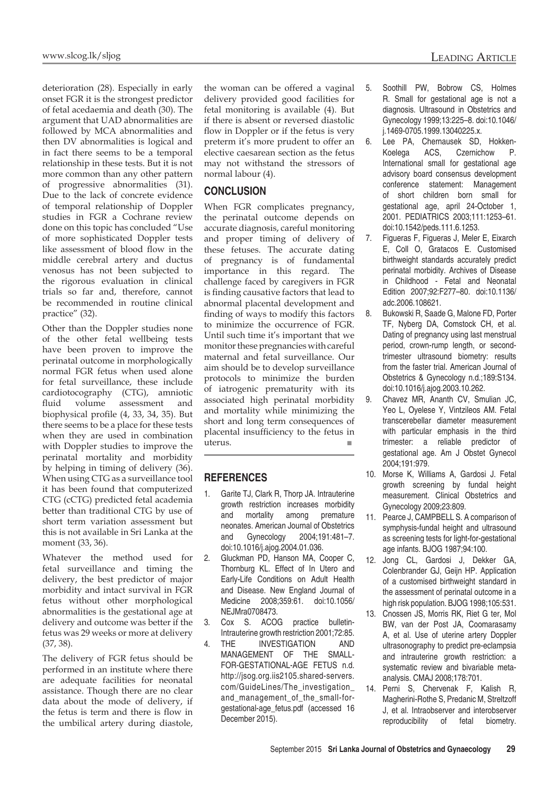deterioration (28). Especially in early onset FGR it is the strongest predictor of fetal acedaemia and death (30). The argument that UAD abnormalities are followed by MCA abnormalities and then DV abnormalities is logical and in fact there seems to be a temporal relationship in these tests. But it is not more common than any other pattern of progressive abnormalities (31). Due to the lack of concrete evidence of temporal relationship of Doppler studies in FGR a Cochrane review done on this topic has concluded "Use of more sophisticated Doppler tests like assessment of blood flow in the middle cerebral artery and ductus venosus has not been subjected to the rigorous evaluation in clinical trials so far and, therefore, cannot be recommended in routine clinical practice" (32).

Other than the Doppler studies none of the other fetal wellbeing tests have been proven to improve the perinatal outcome in morphologically normal FGR fetus when used alone for fetal surveillance, these include cardiotocography (CTG), amniotic fluid volume assessment and biophysical profile (4, 33, 34, 35). But there seems to be a place for these tests when they are used in combination with Doppler studies to improve the perinatal mortality and morbidity by helping in timing of delivery (36). When using CTG as a surveillance tool it has been found that computerized CTG (cCTG) predicted fetal academia better than traditional CTG by use of short term variation assessment but this is not available in Sri Lanka at the moment (33, 36).

Whatever the method used for fetal surveillance and timing the delivery, the best predictor of major morbidity and intact survival in FGR fetus without other morphological abnormalities is the gestational age at delivery and outcome was better if the fetus was 29 weeks or more at delivery (37, 38).

The delivery of FGR fetus should be performed in an institute where there are adequate facilities for neonatal assistance. Though there are no clear data about the mode of delivery, if the fetus is term and there is flow in the umbilical artery during diastole,

the woman can be offered a vaginal delivery provided good facilities for fetal monitoring is available (4). But if there is absent or reversed diastolic flow in Doppler or if the fetus is very preterm it's more prudent to offer an elective caesarean section as the fetus may not withstand the stressors of normal labour (4).

### **Conclusion**

When FGR complicates pregnancy, the perinatal outcome depends on accurate diagnosis, careful monitoring and proper timing of delivery of these fetuses. The accurate dating of pregnancy is of fundamental importance in this regard. The challenge faced by caregivers in FGR is finding causative factors that lead to abnormal placental development and finding of ways to modify this factors to minimize the occurrence of FGR. Until such time it's important that we monitor these pregnancies with careful maternal and fetal surveillance. Our aim should be to develop surveillance protocols to minimize the burden of iatrogenic prematurity with its associated high perinatal morbidity and mortality while minimizing the short and long term consequences of placental insufficiency to the fetus in uterus. ■

#### **references**

- 1. Garite TJ, Clark R, Thorp JA. Intrauterine growth restriction increases morbidity and mortality among premature neonates. American Journal of Obstetrics and Gynecology 2004;191:481–7. doi:10.1016/j.ajog.2004.01.036.
- 2. Gluckman PD, Hanson MA, Cooper C, Thornburg KL. Effect of In Utero and Early-Life Conditions on Adult Health and Disease. New England Journal of Medicine 2008;359:61. doi:10.1056/ NEJMra0708473.
- 3. Cox S. ACOG practice bulletin-Intrauterine growth restriction 2001;72:85.
- 4. THE INVESTIGATION AND MANAGEMENT OF THE SMALL-FOR-GESTATIONAL-AGE FETUS n.d. http://jsog.org.iis2105.shared-servers. com/GuideLines/The\_investigation\_ and management of the small-forgestational-age\_fetus.pdf (accessed 16 December 2015).
- 5. Soothill PW, Bobrow CS, Holmes R. Small for gestational age is not a diagnosis. Ultrasound in Obstetrics and Gynecology 1999;13:225–8. doi:10.1046/ j.1469-0705.1999.13040225.x.
- 6. Lee PA, Chernausek SD, Hokken-Koelega ACS, Czernichow P. International small for gestational age advisory board consensus development conference statement: Management of short children born small for gestational age, april 24-October 1, 2001. PEDIATRICS 2003;111:1253–61. doi:10.1542/peds.111.6.1253.
- 7. Figueras F, Figueras J, Meler E, Eixarch E, Coll O, Gratacos E. Customised birthweight standards accurately predict perinatal morbidity. Archives of Disease in Childhood - Fetal and Neonatal Edition 2007;92:F277–80. doi:10.1136/ adc.2006.108621.
- 8. Bukowski R, Saade G, Malone FD, Porter TF, Nyberg DA, Comstock CH, et al. Dating of pregnancy using last menstrual period, crown-rump length, or secondtrimester ultrasound biometry: results from the faster trial. American Journal of Obstetrics & Gynecology n.d.;189:S134. doi:10.1016/j.ajog.2003.10.262.
- 9. Chavez MR, Ananth CV, Smulian JC, Yeo L, Oyelese Y, Vintzileos AM. Fetal transcerebellar diameter measurement with particular emphasis in the third trimester: a reliable predictor of gestational age. Am J Obstet Gynecol 2004;191:979.
- 10. Morse K, Williams A, Gardosi J. Fetal growth screening by fundal height measurement. Clinical Obstetrics and Gynecology 2009;23:809.
- 11. Pearce J, CAMPBELL S. A comparison of symphysis-fundal height and ultrasound as screening tests for light-for-gestational age infants. BJOG 1987;94:100.
- 12. Jong CL, Gardosi J, Dekker GA, Colenbrander GJ, Geijn HP. Application of a customised birthweight standard in the assessment of perinatal outcome in a high risk population. BJOG 1998;105:531.
- 13. Cnossen JS, Morris RK, Riet G ter, Mol BW, van der Post JA, Coomarasamy A, et al. Use of uterine artery Doppler ultrasonography to predict pre-eclampsia and intrauterine growth restriction: a systematic review and bivariable metaanalysis. CMAJ 2008;178:701.
- 14. Perni S, Chervenak F, Kalish R, Magherini-Rothe S, Predanic M, Streltzoff J, et al. Intraobserver and interobserver reproducibility of fetal biometry.